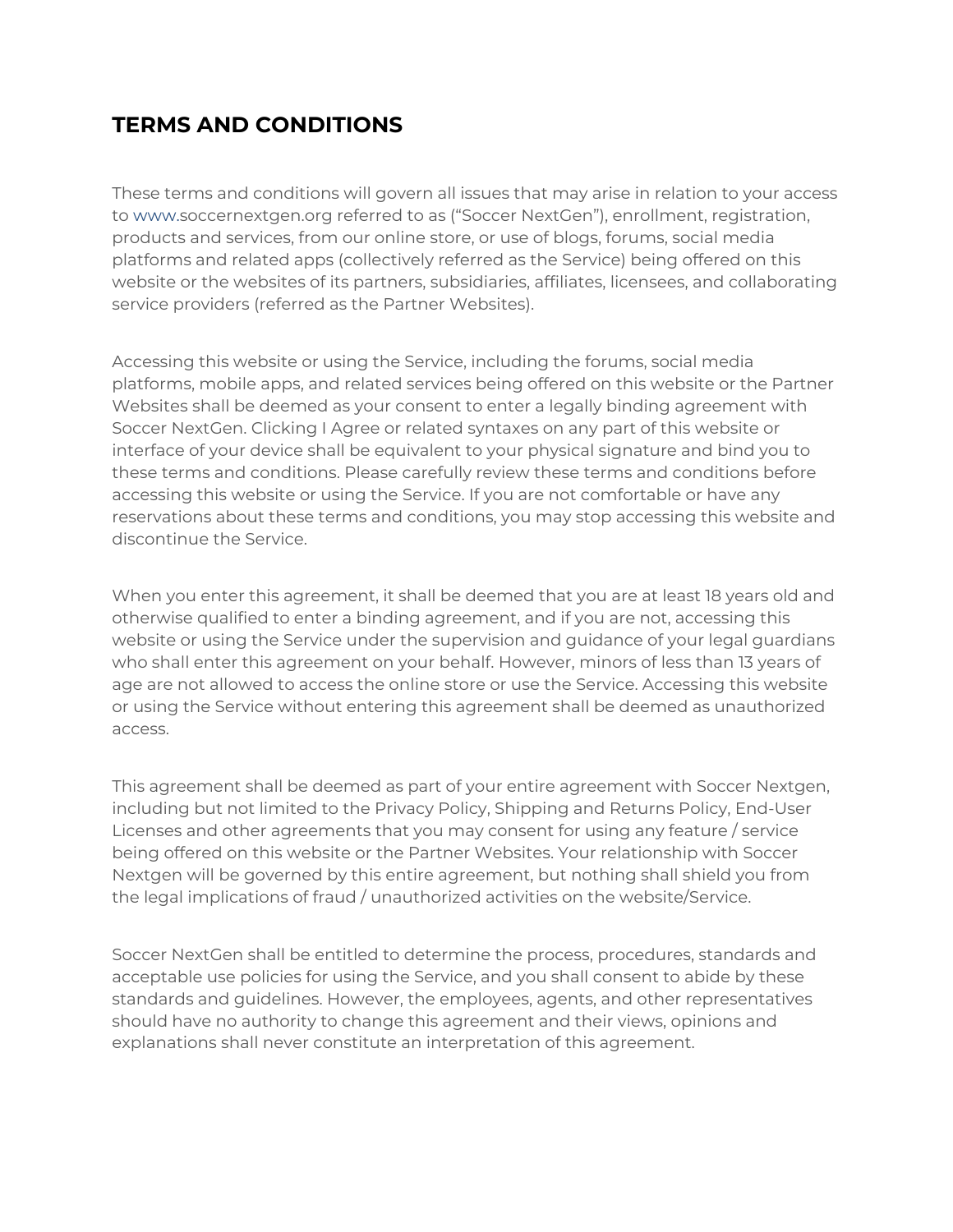# **TERMS AND CONDITIONS**

These terms and conditions will govern all issues that may arise in relation to your access to [www.s](http://www.armwaves.com/)occernextgen.org referred to as ("Soccer NextGen"), enrollment, registration, products and services, from our online store, or use of blogs, forums, social media platforms and related apps (collectively referred as the Service) being offered on this website or the websites of its partners, subsidiaries, affiliates, licensees, and collaborating service providers (referred as the Partner Websites).

Accessing this website or using the Service, including the forums, social media platforms, mobile apps, and related services being offered on this website or the Partner Websites shall be deemed as your consent to enter a legally binding agreement with Soccer NextGen. Clicking I Agree or related syntaxes on any part of this website or interface of your device shall be equivalent to your physical signature and bind you to these terms and conditions. Please carefully review these terms and conditions before accessing this website or using the Service. If you are not comfortable or have any reservations about these terms and conditions, you may stop accessing this website and discontinue the Service.

When you enter this agreement, it shall be deemed that you are at least 18 years old and otherwise qualified to enter a binding agreement, and if you are not, accessing this website or using the Service under the supervision and guidance of your legal guardians who shall enter this agreement on your behalf. However, minors of less than 13 years of age are not allowed to access the online store or use the Service. Accessing this website or using the Service without entering this agreement shall be deemed as unauthorized access.

This agreement shall be deemed as part of your entire agreement with Soccer Nextgen, including but not limited to the Privacy Policy, Shipping and Returns Policy, End-User Licenses and other agreements that you may consent for using any feature / service being offered on this website or the Partner Websites. Your relationship with Soccer Nextgen will be governed by this entire agreement, but nothing shall shield you from the legal implications of fraud / unauthorized activities on the website/Service.

Soccer NextGen shall be entitled to determine the process, procedures, standards and acceptable use policies for using the Service, and you shall consent to abide by these standards and guidelines. However, the employees, agents, and other representatives should have no authority to change this agreement and their views, opinions and explanations shall never constitute an interpretation of this agreement.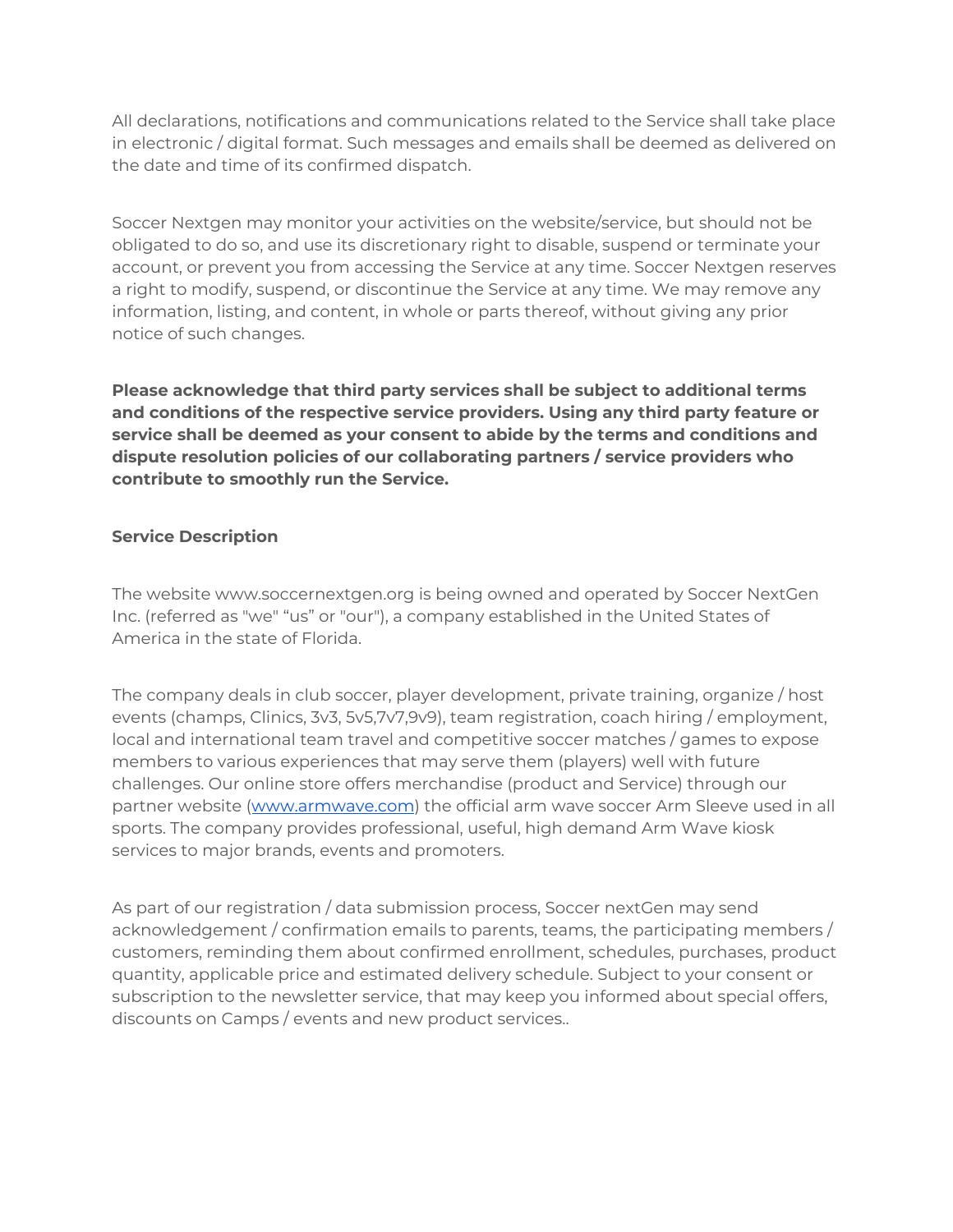All declarations, notifications and communications related to the Service shall take place in electronic / digital format. Such messages and emails shall be deemed as delivered on the date and time of its confirmed dispatch.

Soccer Nextgen may monitor your activities on the website/service, but should not be obligated to do so, and use its discretionary right to disable, suspend or terminate your account, or prevent you from accessing the Service at any time. Soccer Nextgen reserves a right to modify, suspend, or discontinue the Service at any time. We may remove any information, listing, and content, in whole or parts thereof, without giving any prior notice of such changes.

**Please acknowledge that third party services shall be subject to additional terms and conditions of the respective service providers. Using any third party feature or service shall be deemed as your consent to abide by the terms and conditions and dispute resolution policies of our collaborating partners / service providers who contribute to smoothly run the Service.**

# **Service Description**

The website www.soccernextgen.org is being owned and operated by Soccer NextGen Inc. (referred as "we" "us" or "our"), a company established in the United States of America in the state of Florida.

The company deals in club soccer, player development, private training, organize / host events (champs, Clinics, 3v3, 5v5,7v7,9v9), team registration, coach hiring / employment, local and international team travel and competitive soccer matches / games to expose members to various experiences that may serve them (players) well with future challenges. Our online store offers merchandise (product and Service) through our partner website ([www.armwave.com](http://www.armwave.com/)) the official arm wave soccer Arm Sleeve used in all sports. The company provides professional, useful, high demand Arm Wave kiosk services to major brands, events and promoters.

As part of our registration / data submission process, Soccer nextGen may send acknowledgement / confirmation emails to parents, teams, the participating members / customers, reminding them about confirmed enrollment, schedules, purchases, product quantity, applicable price and estimated delivery schedule. Subject to your consent or subscription to the newsletter service, that may keep you informed about special offers, discounts on Camps / events and new product services..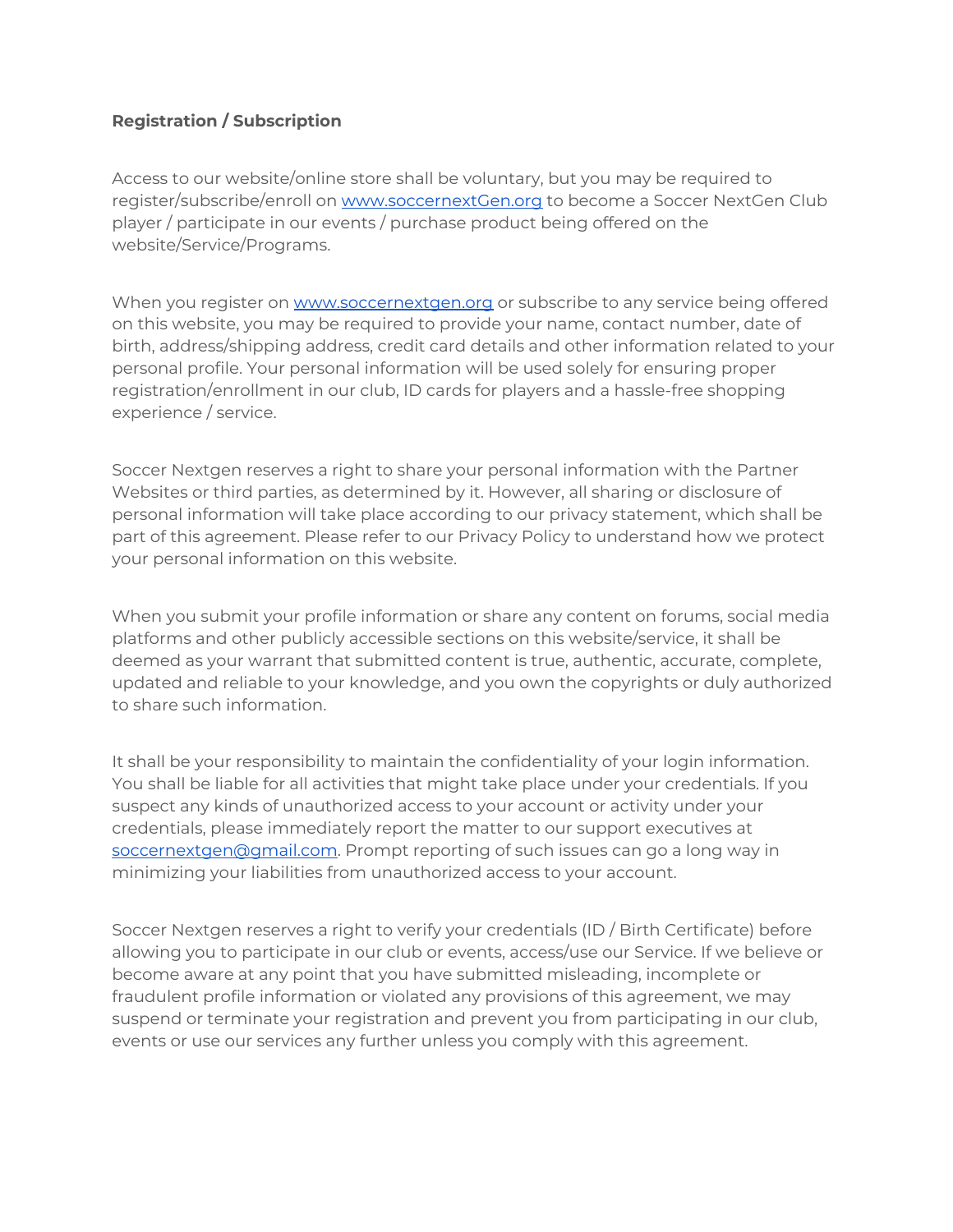# **Registration / Subscription**

Access to our website/online store shall be voluntary, but you may be required to register/subscribe/enroll on [www.soccernextGen.org](http://www.soccernextgen.org/) to become a Soccer NextGen Club player / participate in our events / purchase product being offered on the website/Service/Programs.

When you register on [www.soccernextgen.org](http://www.soccernextgen.org/) or subscribe to any service being offered on this website, you may be required to provide your name, contact number, date of birth, address/shipping address, credit card details and other information related to your personal profile. Your personal information will be used solely for ensuring proper registration/enrollment in our club, ID cards for players and a hassle-free shopping experience / service.

Soccer Nextgen reserves a right to share your personal information with the Partner Websites or third parties, as determined by it. However, all sharing or disclosure of personal information will take place according to our privacy statement, which shall be part of this agreement. Please refer to our Privacy Policy to understand how we protect your personal information on this website.

When you submit your profile information or share any content on forums, social media platforms and other publicly accessible sections on this website/service, it shall be deemed as your warrant that submitted content is true, authentic, accurate, complete, updated and reliable to your knowledge, and you own the copyrights or duly authorized to share such information.

It shall be your responsibility to maintain the confidentiality of your login information. You shall be liable for all activities that might take place under your credentials. If you suspect any kinds of unauthorized access to your account or activity under your credentials, please immediately report the matter to our support executives at [soccernextgen@gmail.com.](mailto:soccernextgen@gmail.com) Prompt reporting of such issues can go a long way in minimizing your liabilities from unauthorized access to your account.

Soccer Nextgen reserves a right to verify your credentials (ID / Birth Certificate) before allowing you to participate in our club or events, access/use our Service. If we believe or become aware at any point that you have submitted misleading, incomplete or fraudulent profile information or violated any provisions of this agreement, we may suspend or terminate your registration and prevent you from participating in our club, events or use our services any further unless you comply with this agreement.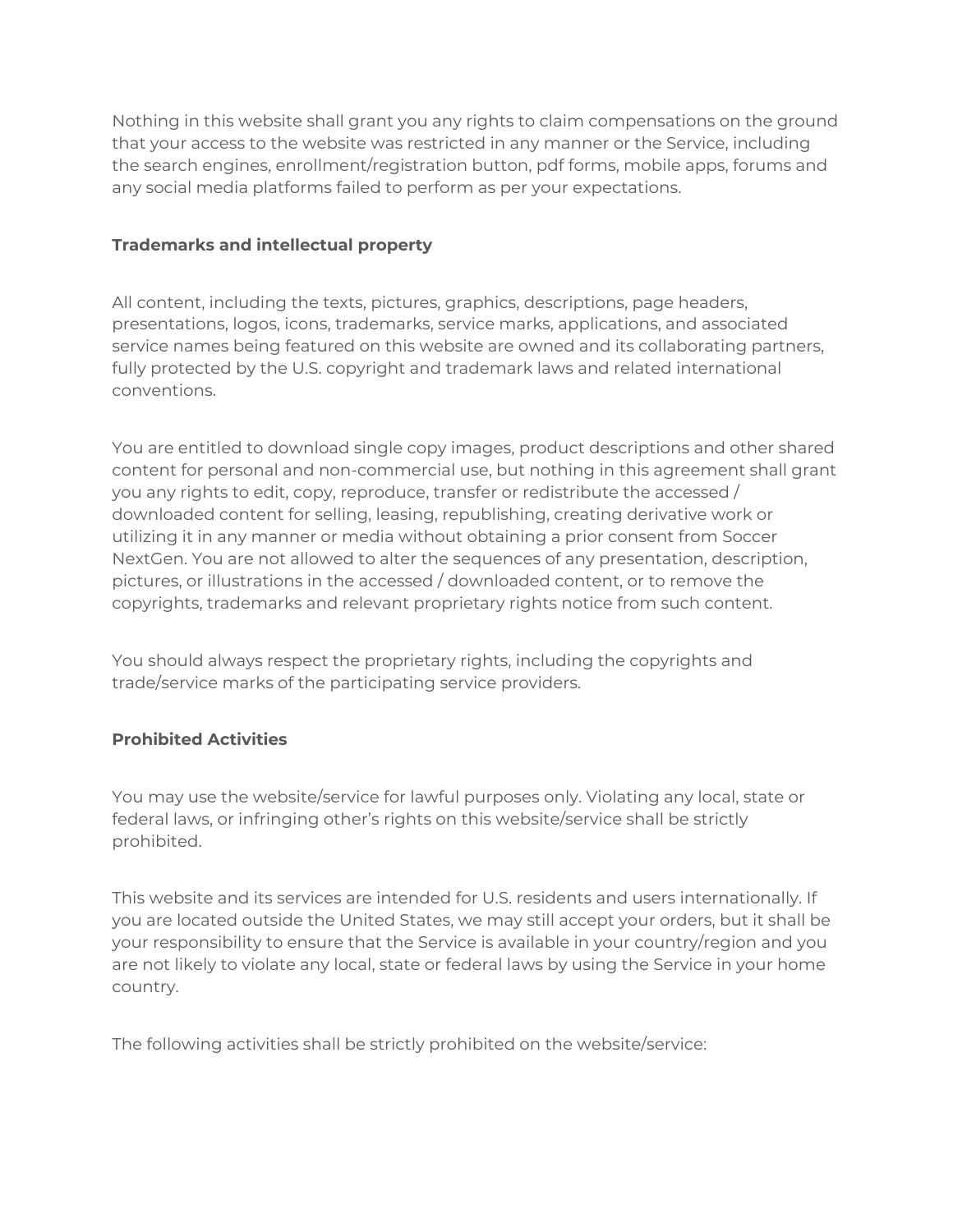Nothing in this website shall grant you any rights to claim compensations on the ground that your access to the website was restricted in any manner or the Service, including the search engines, enrollment/registration button, pdf forms, mobile apps, forums and any social media platforms failed to perform as per your expectations.

# **Trademarks and intellectual property**

All content, including the texts, pictures, graphics, descriptions, page headers, presentations, logos, icons, trademarks, service marks, applications, and associated service names being featured on this website are owned and its collaborating partners, fully protected by the U.S. copyright and trademark laws and related international conventions.

You are entitled to download single copy images, product descriptions and other shared content for personal and non-commercial use, but nothing in this agreement shall grant you any rights to edit, copy, reproduce, transfer or redistribute the accessed / downloaded content for selling, leasing, republishing, creating derivative work or utilizing it in any manner or media without obtaining a prior consent from Soccer NextGen. You are not allowed to alter the sequences of any presentation, description, pictures, or illustrations in the accessed / downloaded content, or to remove the copyrights, trademarks and relevant proprietary rights notice from such content.

You should always respect the proprietary rights, including the copyrights and trade/service marks of the participating service providers.

# **Prohibited Activities**

You may use the website/service for lawful purposes only. Violating any local, state or federal laws, or infringing other's rights on this website/service shall be strictly prohibited.

This website and its services are intended for U.S. residents and users internationally. If you are located outside the United States, we may still accept your orders, but it shall be your responsibility to ensure that the Service is available in your country/region and you are not likely to violate any local, state or federal laws by using the Service in your home country.

The following activities shall be strictly prohibited on the website/service: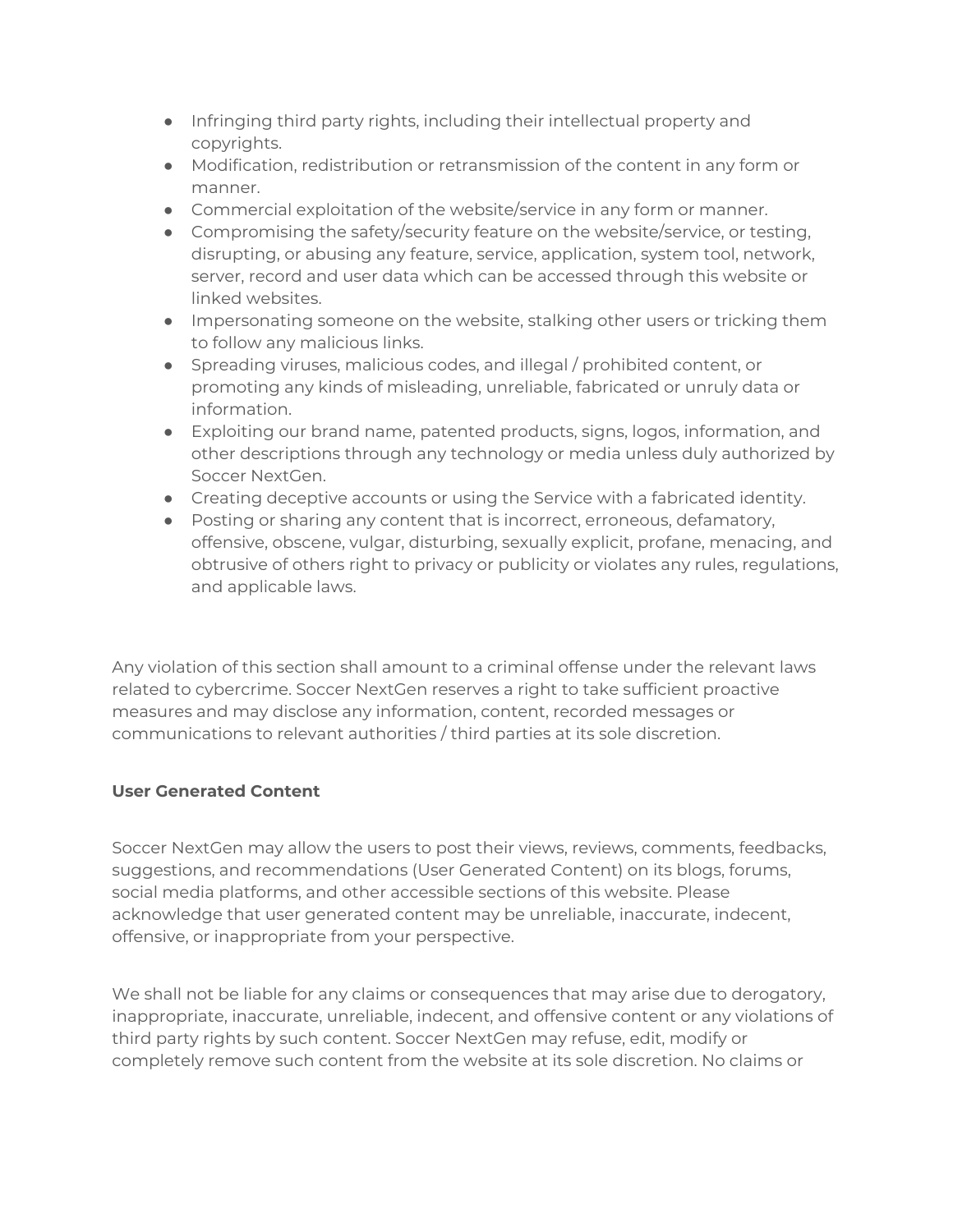- Infringing third party rights, including their intellectual property and copyrights.
- Modification, redistribution or retransmission of the content in any form or manner.
- Commercial exploitation of the website/service in any form or manner.
- Compromising the safety/security feature on the website/service, or testing, disrupting, or abusing any feature, service, application, system tool, network, server, record and user data which can be accessed through this website or linked websites.
- Impersonating someone on the website, stalking other users or tricking them to follow any malicious links.
- Spreading viruses, malicious codes, and illegal / prohibited content, or promoting any kinds of misleading, unreliable, fabricated or unruly data or information.
- Exploiting our brand name, patented products, signs, logos, information, and other descriptions through any technology or media unless duly authorized by Soccer NextGen.
- Creating deceptive accounts or using the Service with a fabricated identity.
- Posting or sharing any content that is incorrect, erroneous, defamatory, offensive, obscene, vulgar, disturbing, sexually explicit, profane, menacing, and obtrusive of others right to privacy or publicity or violates any rules, regulations, and applicable laws.

Any violation of this section shall amount to a criminal offense under the relevant laws related to cybercrime. Soccer NextGen reserves a right to take sufficient proactive measures and may disclose any information, content, recorded messages or communications to relevant authorities / third parties at its sole discretion.

# **User Generated Content**

Soccer NextGen may allow the users to post their views, reviews, comments, feedbacks, suggestions, and recommendations (User Generated Content) on its blogs, forums, social media platforms, and other accessible sections of this website. Please acknowledge that user generated content may be unreliable, inaccurate, indecent, offensive, or inappropriate from your perspective.

We shall not be liable for any claims or consequences that may arise due to derogatory, inappropriate, inaccurate, unreliable, indecent, and offensive content or any violations of third party rights by such content. Soccer NextGen may refuse, edit, modify or completely remove such content from the website at its sole discretion. No claims or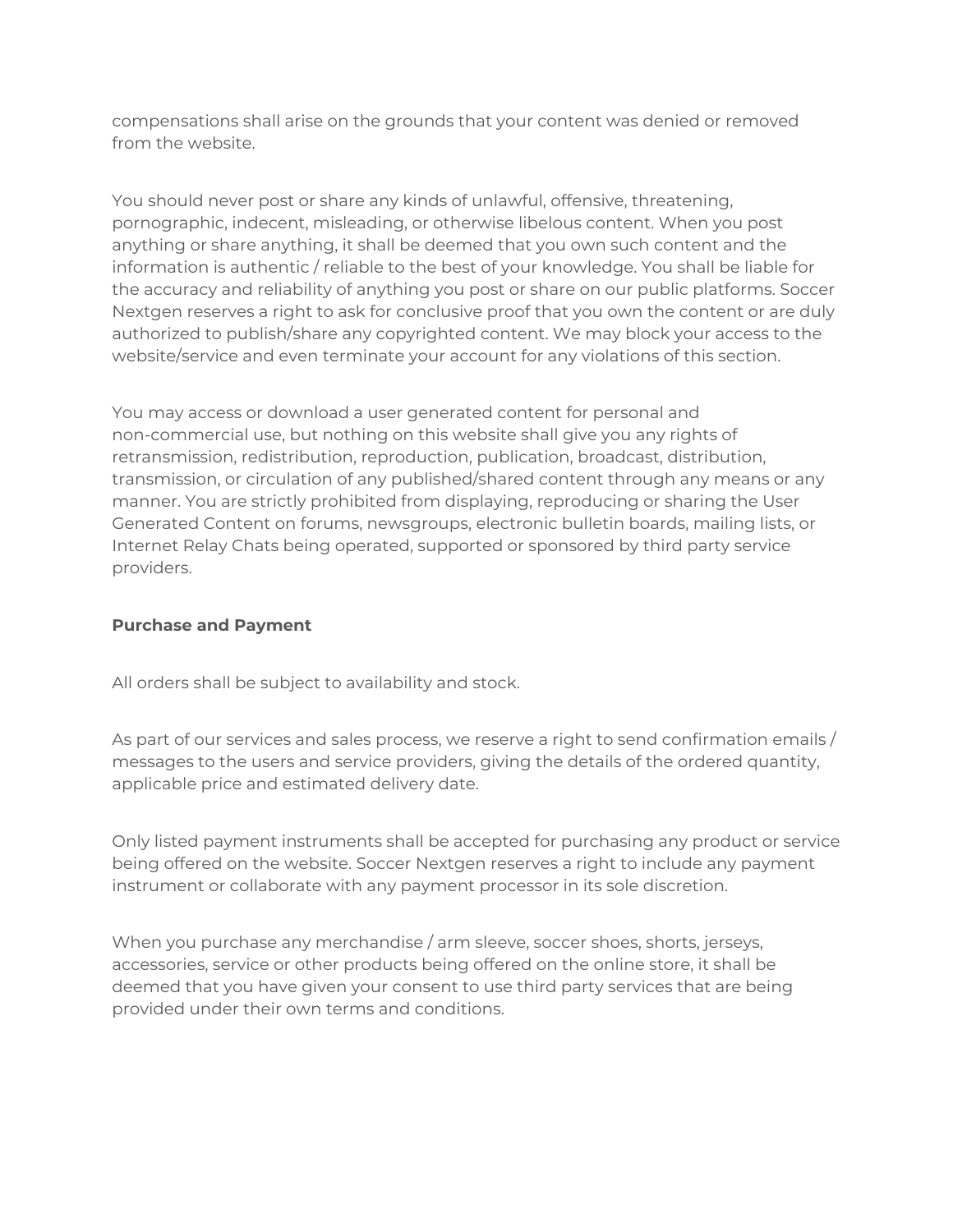compensations shall arise on the grounds that your content was denied or removed from the website.

You should never post or share any kinds of unlawful, offensive, threatening, pornographic, indecent, misleading, or otherwise libelous content. When you post anything or share anything, it shall be deemed that you own such content and the information is authentic / reliable to the best of your knowledge. You shall be liable for the accuracy and reliability of anything you post or share on our public platforms. Soccer Nextgen reserves a right to ask for conclusive proof that you own the content or are duly authorized to publish/share any copyrighted content. We may block your access to the website/service and even terminate your account for any violations of this section.

You may access or download a user generated content for personal and non-commercial use, but nothing on this website shall give you any rights of retransmission, redistribution, reproduction, publication, broadcast, distribution, transmission, or circulation of any published/shared content through any means or any manner. You are strictly prohibited from displaying, reproducing or sharing the User Generated Content on forums, newsgroups, electronic bulletin boards, mailing lists, or Internet Relay Chats being operated, supported or sponsored by third party service providers.

#### **Purchase and Payment**

All orders shall be subject to availability and stock.

As part of our services and sales process, we reserve a right to send confirmation emails / messages to the users and service providers, giving the details of the ordered quantity, applicable price and estimated delivery date.

Only listed payment instruments shall be accepted for purchasing any product or service being offered on the website. Soccer Nextgen reserves a right to include any payment instrument or collaborate with any payment processor in its sole discretion.

When you purchase any merchandise / arm sleeve, soccer shoes, shorts, jerseys, accessories, service or other products being offered on the online store, it shall be deemed that you have given your consent to use third party services that are being provided under their own terms and conditions.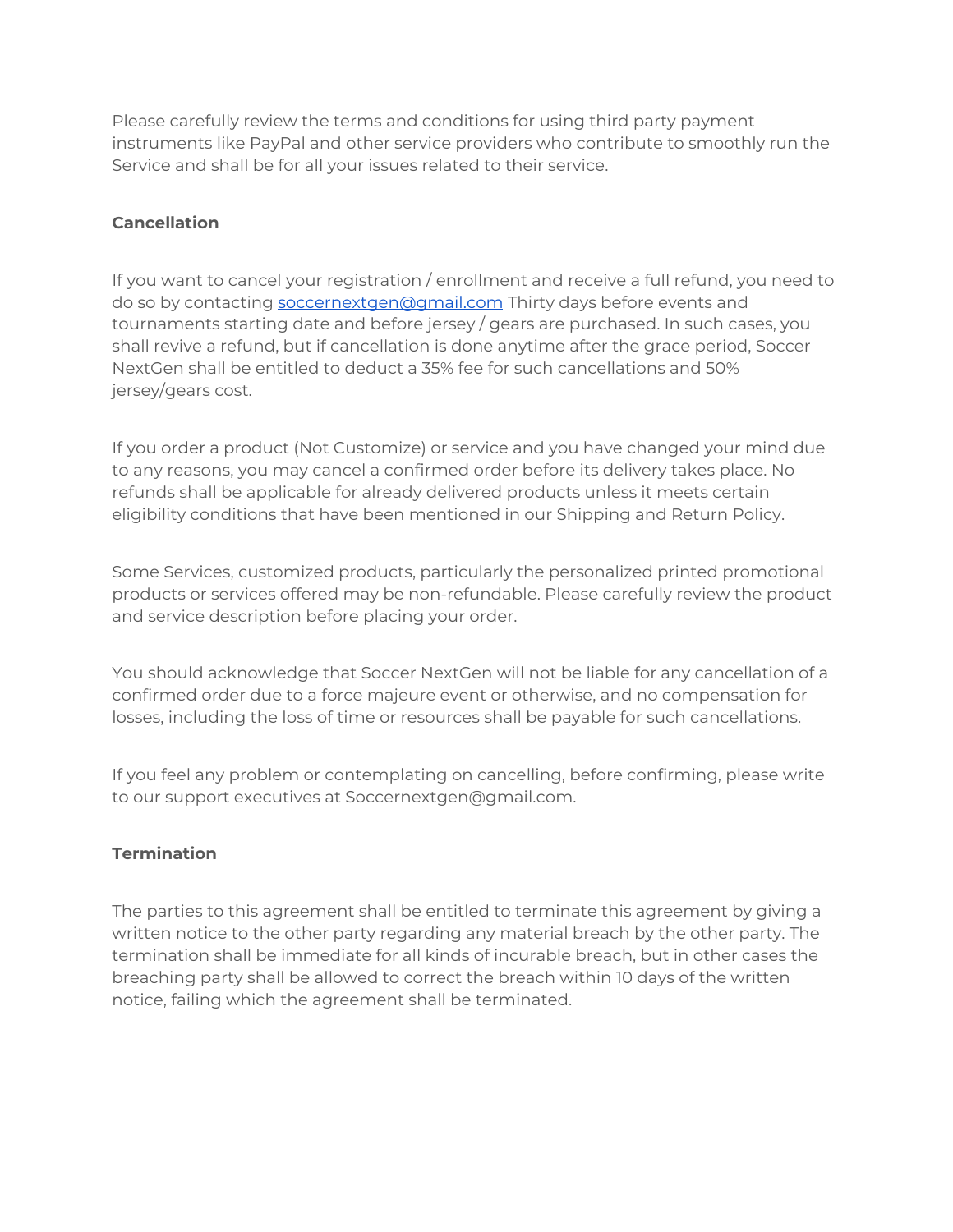Please carefully review the terms and conditions for using third party payment instruments like PayPal and other service providers who contribute to smoothly run the Service and shall be for all your issues related to their service.

# **Cancellation**

If you want to cancel your registration / enrollment and receive a full refund, you need to do so by contacting [soccernextgen@gmail.com](mailto:soccernextgen@gmail.com) Thirty days before events and tournaments starting date and before jersey / gears are purchased. In such cases, you shall revive a refund, but if cancellation is done anytime after the grace period, Soccer NextGen shall be entitled to deduct a 35% fee for such cancellations and 50% jersey/gears cost.

If you order a product (Not Customize) or service and you have changed your mind due to any reasons, you may cancel a confirmed order before its delivery takes place. No refunds shall be applicable for already delivered products unless it meets certain eligibility conditions that have been mentioned in our Shipping and Return Policy.

Some Services, customized products, particularly the personalized printed promotional products or services offered may be non-refundable. Please carefully review the product and service description before placing your order.

You should acknowledge that Soccer NextGen will not be liable for any cancellation of a confirmed order due to a force majeure event or otherwise, and no compensation for losses, including the loss of time or resources shall be payable for such cancellations.

If you feel any problem or contemplating on cancelling, before confirming, please write to our support executives at Soccernextgen@gmail.com.

# **Termination**

The parties to this agreement shall be entitled to terminate this agreement by giving a written notice to the other party regarding any material breach by the other party. The termination shall be immediate for all kinds of incurable breach, but in other cases the breaching party shall be allowed to correct the breach within 10 days of the written notice, failing which the agreement shall be terminated.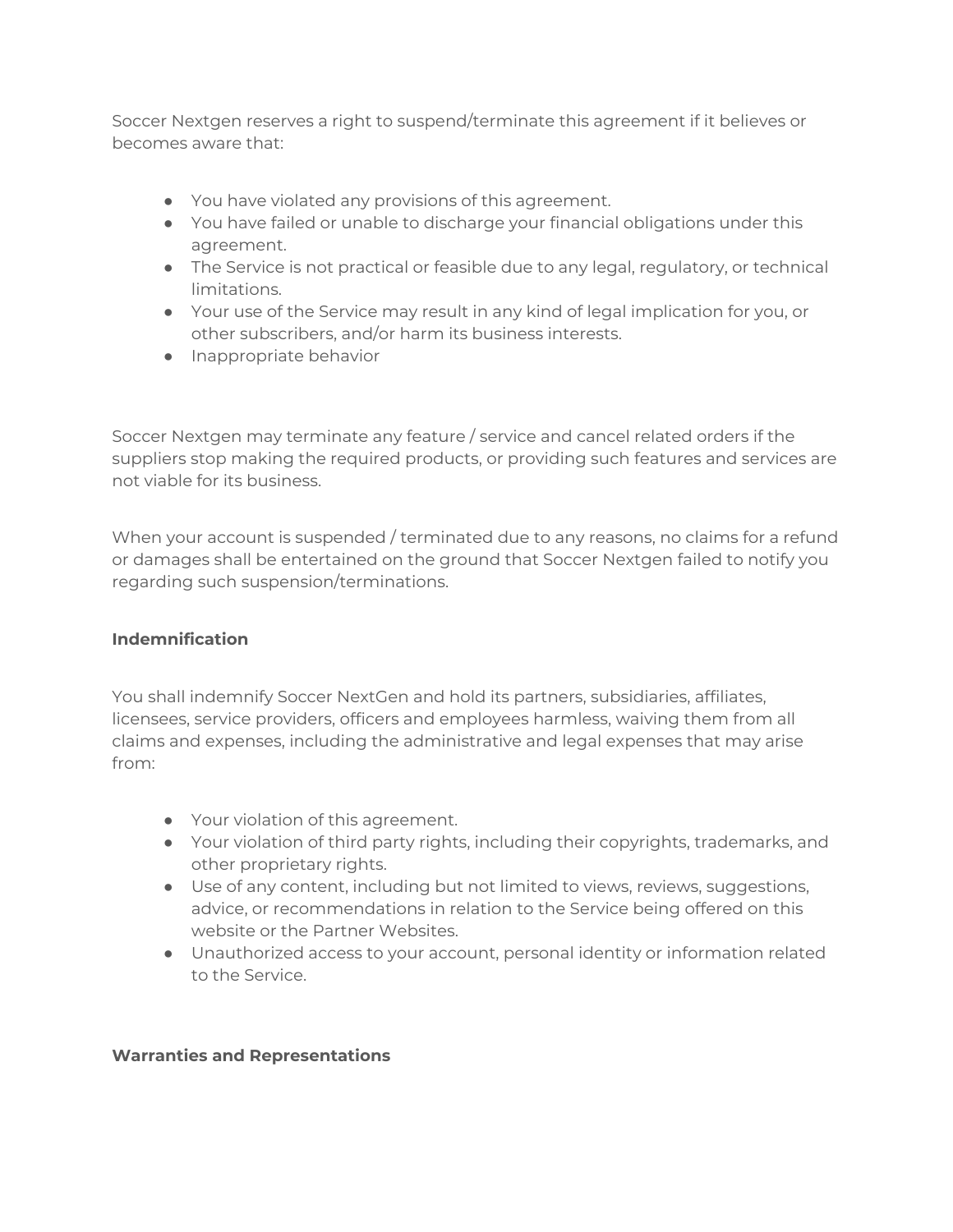Soccer Nextgen reserves a right to suspend/terminate this agreement if it believes or becomes aware that:

- You have violated any provisions of this agreement.
- You have failed or unable to discharge your financial obligations under this agreement.
- The Service is not practical or feasible due to any legal, regulatory, or technical limitations.
- Your use of the Service may result in any kind of legal implication for you, or other subscribers, and/or harm its business interests.
- Inappropriate behavior

Soccer Nextgen may terminate any feature / service and cancel related orders if the suppliers stop making the required products, or providing such features and services are not viable for its business.

When your account is suspended / terminated due to any reasons, no claims for a refund or damages shall be entertained on the ground that Soccer Nextgen failed to notify you regarding such suspension/terminations.

# **Indemnification**

You shall indemnify Soccer NextGen and hold its partners, subsidiaries, affiliates, licensees, service providers, officers and employees harmless, waiving them from all claims and expenses, including the administrative and legal expenses that may arise from:

- Your violation of this agreement.
- Your violation of third party rights, including their copyrights, trademarks, and other proprietary rights.
- Use of any content, including but not limited to views, reviews, suggestions, advice, or recommendations in relation to the Service being offered on this website or the Partner Websites.
- Unauthorized access to your account, personal identity or information related to the Service.

#### **Warranties and Representations**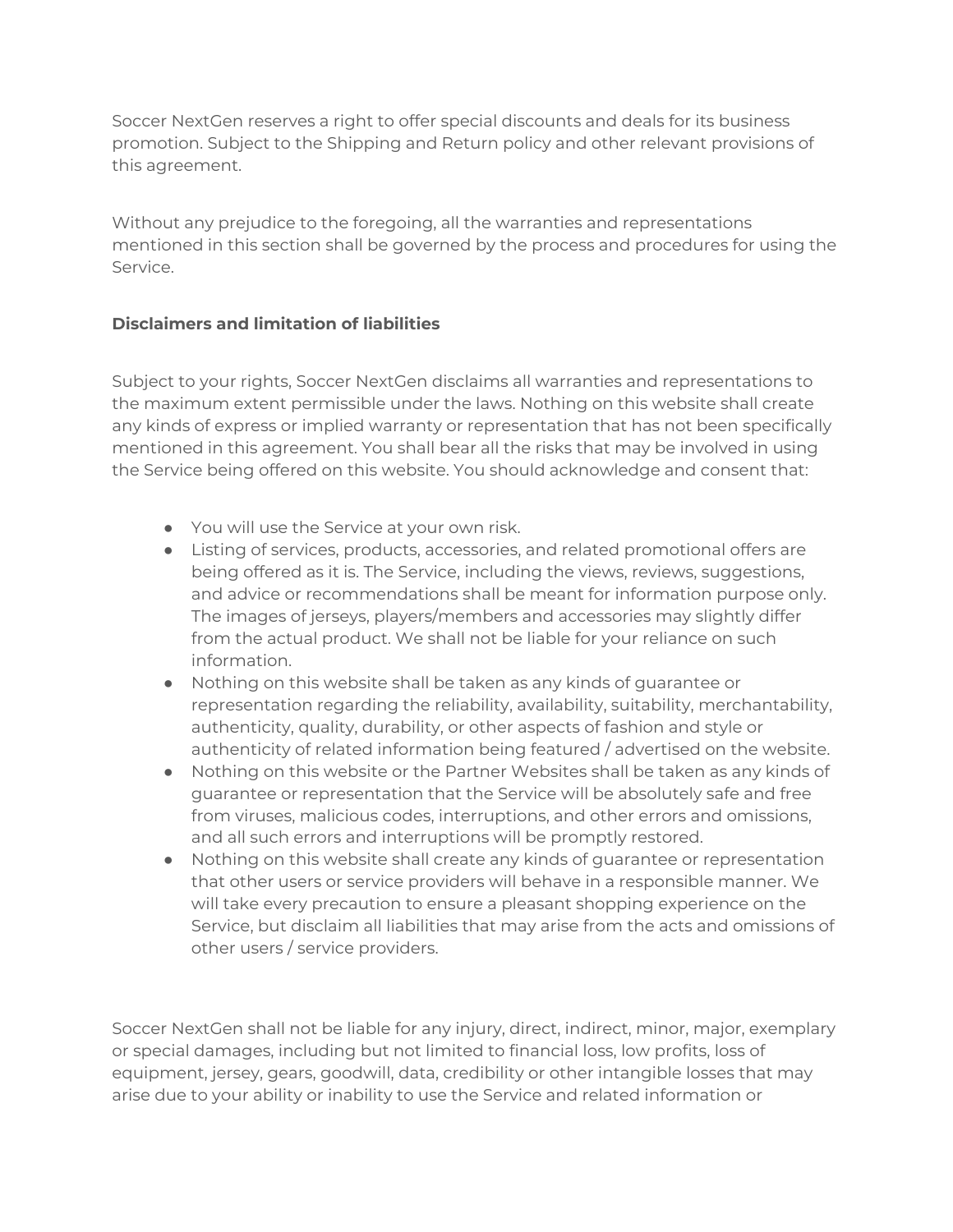Soccer NextGen reserves a right to offer special discounts and deals for its business promotion. Subject to the Shipping and Return policy and other relevant provisions of this agreement.

Without any prejudice to the foregoing, all the warranties and representations mentioned in this section shall be governed by the process and procedures for using the Service.

# **Disclaimers and limitation of liabilities**

Subject to your rights, Soccer NextGen disclaims all warranties and representations to the maximum extent permissible under the laws. Nothing on this website shall create any kinds of express or implied warranty or representation that has not been specifically mentioned in this agreement. You shall bear all the risks that may be involved in using the Service being offered on this website. You should acknowledge and consent that:

- You will use the Service at your own risk.
- Listing of services, products, accessories, and related promotional offers are being offered as it is. The Service, including the views, reviews, suggestions, and advice or recommendations shall be meant for information purpose only. The images of jerseys, players/members and accessories may slightly differ from the actual product. We shall not be liable for your reliance on such information.
- Nothing on this website shall be taken as any kinds of guarantee or representation regarding the reliability, availability, suitability, merchantability, authenticity, quality, durability, or other aspects of fashion and style or authenticity of related information being featured / advertised on the website.
- Nothing on this website or the Partner Websites shall be taken as any kinds of guarantee or representation that the Service will be absolutely safe and free from viruses, malicious codes, interruptions, and other errors and omissions, and all such errors and interruptions will be promptly restored.
- Nothing on this website shall create any kinds of guarantee or representation that other users or service providers will behave in a responsible manner. We will take every precaution to ensure a pleasant shopping experience on the Service, but disclaim all liabilities that may arise from the acts and omissions of other users / service providers.

Soccer NextGen shall not be liable for any injury, direct, indirect, minor, major, exemplary or special damages, including but not limited to financial loss, low profits, loss of equipment, jersey, gears, goodwill, data, credibility or other intangible losses that may arise due to your ability or inability to use the Service and related information or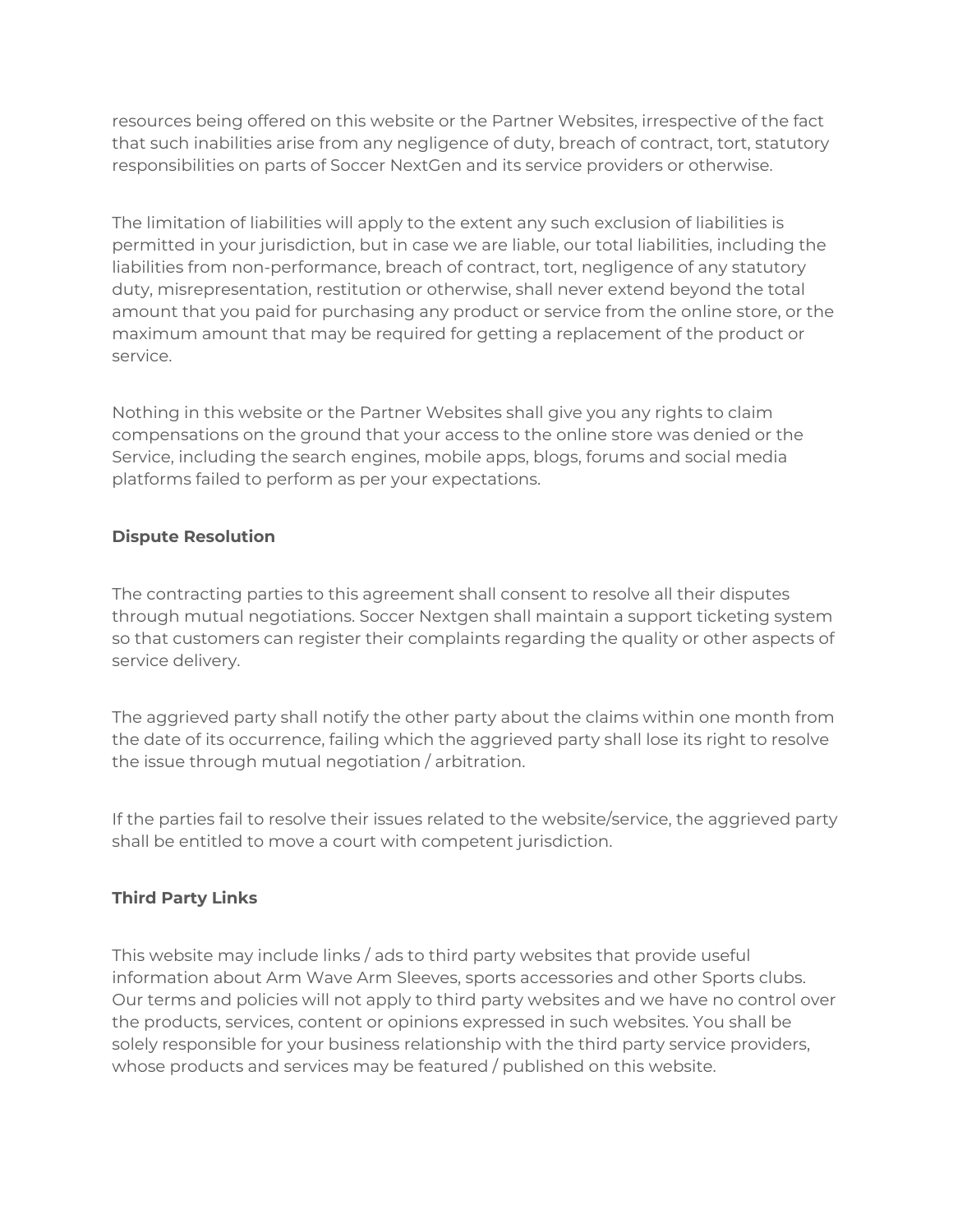resources being offered on this website or the Partner Websites, irrespective of the fact that such inabilities arise from any negligence of duty, breach of contract, tort, statutory responsibilities on parts of Soccer NextGen and its service providers or otherwise.

The limitation of liabilities will apply to the extent any such exclusion of liabilities is permitted in your jurisdiction, but in case we are liable, our total liabilities, including the liabilities from non-performance, breach of contract, tort, negligence of any statutory duty, misrepresentation, restitution or otherwise, shall never extend beyond the total amount that you paid for purchasing any product or service from the online store, or the maximum amount that may be required for getting a replacement of the product or service.

Nothing in this website or the Partner Websites shall give you any rights to claim compensations on the ground that your access to the online store was denied or the Service, including the search engines, mobile apps, blogs, forums and social media platforms failed to perform as per your expectations.

## **Dispute Resolution**

The contracting parties to this agreement shall consent to resolve all their disputes through mutual negotiations. Soccer Nextgen shall maintain a support ticketing system so that customers can register their complaints regarding the quality or other aspects of service delivery.

The aggrieved party shall notify the other party about the claims within one month from the date of its occurrence, failing which the aggrieved party shall lose its right to resolve the issue through mutual negotiation / arbitration.

If the parties fail to resolve their issues related to the website/service, the aggrieved party shall be entitled to move a court with competent jurisdiction.

# **Third Party Links**

This website may include links / ads to third party websites that provide useful information about Arm Wave Arm Sleeves, sports accessories and other Sports clubs. Our terms and policies will not apply to third party websites and we have no control over the products, services, content or opinions expressed in such websites. You shall be solely responsible for your business relationship with the third party service providers, whose products and services may be featured / published on this website.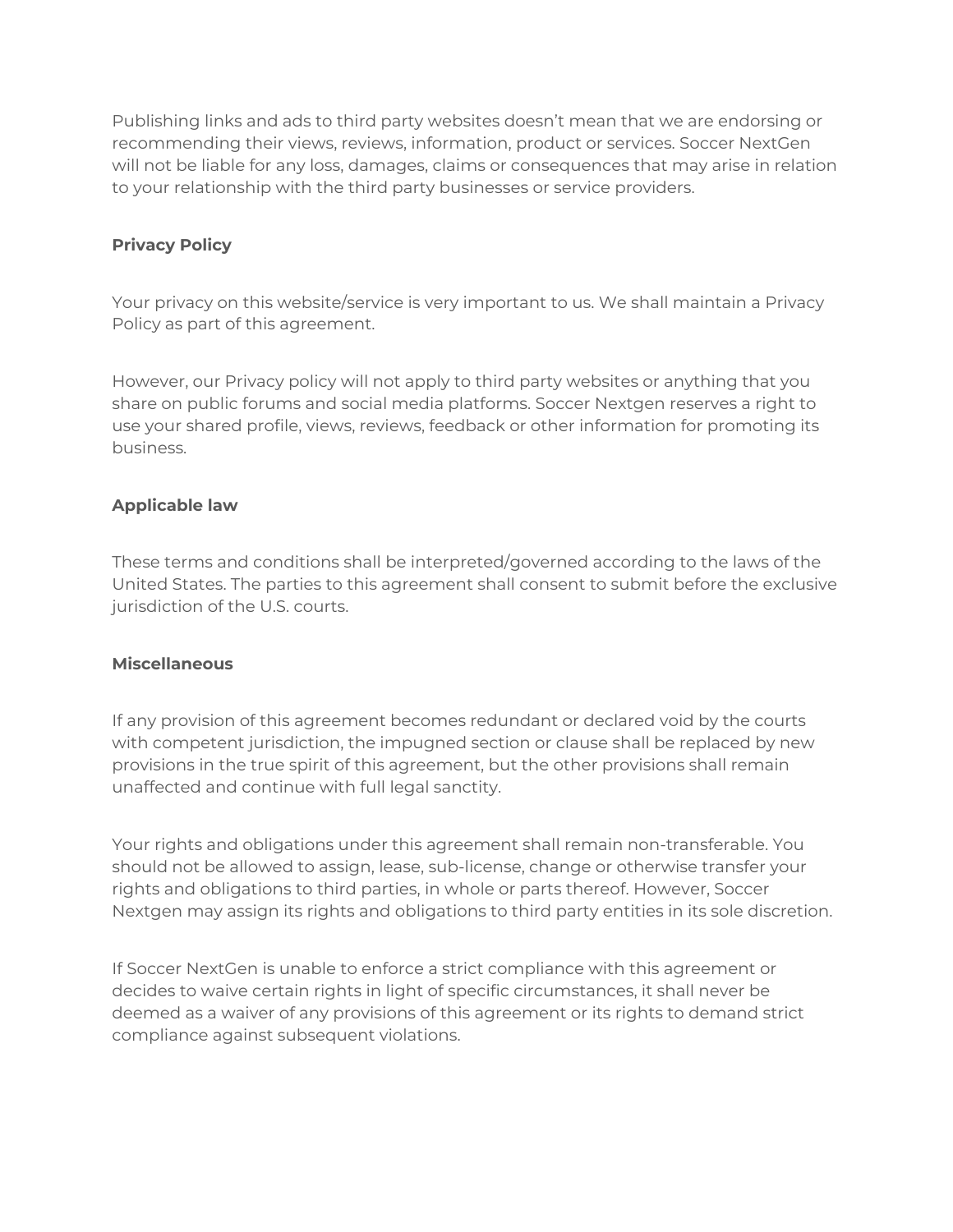Publishing links and ads to third party websites doesn't mean that we are endorsing or recommending their views, reviews, information, product or services. Soccer NextGen will not be liable for any loss, damages, claims or consequences that may arise in relation to your relationship with the third party businesses or service providers.

## **Privacy Policy**

Your privacy on this website/service is very important to us. We shall maintain a Privacy Policy as part of this agreement.

However, our Privacy policy will not apply to third party websites or anything that you share on public forums and social media platforms. Soccer Nextgen reserves a right to use your shared profile, views, reviews, feedback or other information for promoting its business.

## **Applicable law**

These terms and conditions shall be interpreted/governed according to the laws of the United States. The parties to this agreement shall consent to submit before the exclusive jurisdiction of the U.S. courts.

#### **Miscellaneous**

If any provision of this agreement becomes redundant or declared void by the courts with competent jurisdiction, the impugned section or clause shall be replaced by new provisions in the true spirit of this agreement, but the other provisions shall remain unaffected and continue with full legal sanctity.

Your rights and obligations under this agreement shall remain non-transferable. You should not be allowed to assign, lease, sub-license, change or otherwise transfer your rights and obligations to third parties, in whole or parts thereof. However, Soccer Nextgen may assign its rights and obligations to third party entities in its sole discretion.

If Soccer NextGen is unable to enforce a strict compliance with this agreement or decides to waive certain rights in light of specific circumstances, it shall never be deemed as a waiver of any provisions of this agreement or its rights to demand strict compliance against subsequent violations.